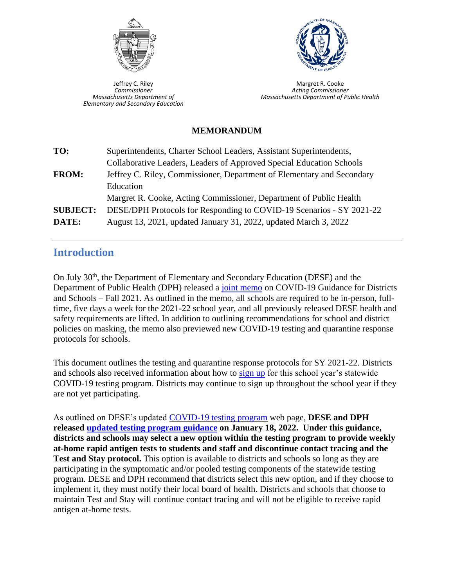

Jeffrey C. Riley *Commissioner Massachusetts Department of Elementary and Secondary Education*



Margret R. Cooke *Acting Commissioner Massachusetts Department of Public Health*

#### **MEMORANDUM**

| TO:             | Superintendents, Charter School Leaders, Assistant Superintendents,    |
|-----------------|------------------------------------------------------------------------|
|                 | Collaborative Leaders, Leaders of Approved Special Education Schools   |
| <b>FROM:</b>    | Jeffrey C. Riley, Commissioner, Department of Elementary and Secondary |
|                 | Education                                                              |
|                 | Margret R. Cooke, Acting Commissioner, Department of Public Health     |
| <b>SUBJECT:</b> | DESE/DPH Protocols for Responding to COVID-19 Scenarios - SY 2021-22   |
| DATE:           | August 13, 2021, updated January 31, 2022, updated March 3, 2022       |

# **Introduction**

On July 30<sup>th</sup>, the Department of Elementary and Secondary Education (DESE) and the Department of Public Health (DPH) released a [joint memo](https://www.doe.mass.edu/covid19/on-desktop/2021-0730fall-2021-covid19-guidance.pdf) on COVID-19 Guidance for Districts and Schools – Fall 2021. As outlined in the memo, all schools are required to be in-person, fulltime, five days a week for the 2021-22 school year, and all previously released DESE health and safety requirements are lifted. In addition to outlining recommendations for school and district policies on masking, the memo also previewed new COVID-19 testing and quarantine response protocols for schools.

This document outlines the testing and quarantine response protocols for SY 2021-22. Districts and schools also received information about how to [sign up](https://survey.alchemer.com/s3/6473918/SY22-Authorized-School-Application-COVID-19-Testing-Program) for this school year's statewide COVID-19 testing program. Districts may continue to sign up throughout the school year if they are not yet participating.

As outlined on DESE's updated [COVID-19 testing program](https://www.doe.mass.edu/covid19/testing/) web page, **DESE and DPH released [updated testing program guidance](https://www.doe.mass.edu/covid19/on-desktop/2022-0118new-testing-program.pdf) on January 18, 2022. Under this guidance, districts and schools may select a new option within the testing program to provide weekly at-home rapid antigen tests to students and staff and discontinue contact tracing and the Test and Stay protocol.** This option is available to districts and schools so long as they are participating in the symptomatic and/or pooled testing components of the statewide testing program. DESE and DPH recommend that districts select this new option, and if they choose to implement it, they must notify their local board of health. Districts and schools that choose to maintain Test and Stay will continue contact tracing and will not be eligible to receive rapid antigen at-home tests.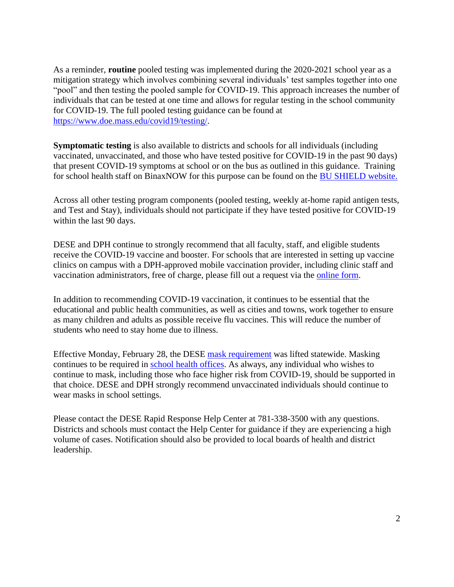As a reminder, **routine** pooled testing was implemented during the 2020-2021 school year as a mitigation strategy which involves combining several individuals' test samples together into one "pool" and then testing the pooled sample for COVID-19. This approach increases the number of individuals that can be tested at one time and allows for regular testing in the school community for COVID-19. The full pooled testing guidance can be found at [https://www.doe.mass.edu/covid19/testing/.](https://www.doe.mass.edu/covid19/testing/)

**Symptomatic testing** is also available to districts and schools for all individuals (including vaccinated, unvaccinated, and those who have tested positive for COVID-19 in the past 90 days) that present COVID-19 symptoms at school or on the bus as outlined in this guidance. Training for school health staff on BinaxNOW for this purpose can be found on the [BU SHIELD](https://cme.bu.edu/shield.bu.edu/content/binaxnow%E2%84%A2-training-school-health-professionals#group-tabs-node-course-default1) website.

Across all other testing program components (pooled testing, weekly at-home rapid antigen tests, and Test and Stay), individuals should not participate if they have tested positive for COVID-19 within the last 90 days.

DESE and DPH continue to strongly recommend that all faculty, staff, and eligible students receive the COVID-19 vaccine and booster. For schools that are interested in setting up vaccine clinics on campus with a DPH-approved mobile vaccination provider, including clinic staff and vaccination administrators, free of charge, please fill out a request via the [online form.](https://www.mass.gov/info-details/covid-19-mobile-vaccination-program)

In addition to recommending COVID-19 vaccination, it continues to be essential that the educational and public health communities, as well as cities and towns, work together to ensure as many children and adults as possible receive flu vaccines. This will reduce the number of students who need to stay home due to illness.

Effective Monday, February 28, the DESE [mask requirement](https://www.doe.mass.edu/covid19/on-desktop/2022-0209mask-requirement-update.pdf) was lifted statewide. Masking continues to be required in [school health offices.](https://urldefense.com/v3/__https:/mass.us14.list-manage.com/track/click?u=d8f37d1a90dacd97f207f0b4a&id=b0af7de54a&e=c4363ea076__;!!CUhgQOZqV7M!z49BGSdmLq1wkemQy-CD_q5eFmFxOFc_rbIbQhUAmkvhGACmQTqyhwv8pdwemXoE$) As always, any individual who wishes to continue to mask, including those who face higher risk from COVID-19, should be supported in that choice. DESE and DPH strongly recommend unvaccinated individuals should continue to wear masks in school settings.

Please contact the DESE Rapid Response Help Center at 781-338-3500 with any questions. Districts and schools must contact the Help Center for guidance if they are experiencing a high volume of cases. Notification should also be provided to local boards of health and district leadership.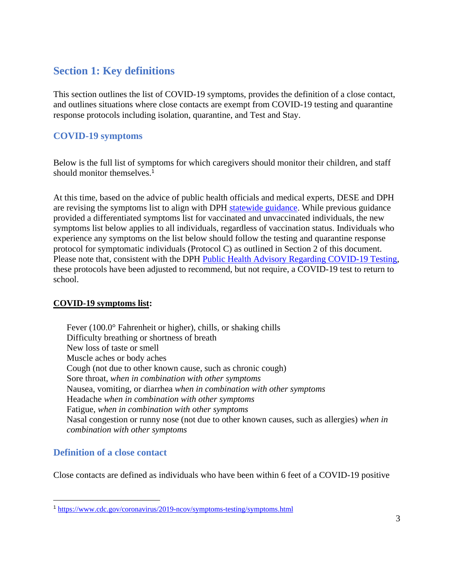# **Section 1: Key definitions**

This section outlines the list of COVID-19 symptoms, provides the definition of a close contact, and outlines situations where close contacts are exempt from COVID-19 testing and quarantine response protocols including isolation, quarantine, and Test and Stay.

### **COVID-19 symptoms**

Below is the full list of symptoms for which caregivers should monitor their children, and staff should monitor themselves.<sup>1</sup>

At this time, based on the advice of public health officials and medical experts, DESE and DPH are revising the symptoms list to align with DPH [statewide guidance.](https://www.mass.gov/info-details/about-covid-19#symptoms-) While previous guidance provided a differentiated symptoms list for vaccinated and unvaccinated individuals, the new symptoms list below applies to all individuals, regardless of vaccination status. Individuals who experience any symptoms on the list below should follow the testing and quarantine response protocol for symptomatic individuals (Protocol C) as outlined in Section 2 of this document. Please note that, consistent with the DPH [Public Health Advisory Regarding](https://www.mass.gov/advisory/public-health-advisory-regarding-covid-19-testing#:~:text=The%20Massachusetts%20Department%20of%20Public,with%20the%20new%20CDC%20guidance.) COVID-19 Testing, these protocols have been adjusted to recommend, but not require, a COVID-19 test to return to school.

### **COVID-19 symptoms list:**

Fever (100.0° Fahrenheit or higher), chills, or shaking chills Difficulty breathing or shortness of breath New loss of taste or smell Muscle aches or body aches Cough (not due to other known cause, such as chronic cough) Sore throat, *when in combination with other symptoms* Nausea, vomiting, or diarrhea *when in combination with other symptoms* Headache *when in combination with other symptoms* Fatigue, *when in combination with other symptoms* Nasal congestion or runny nose (not due to other known causes, such as allergies) *when in combination with other symptoms*

# **Definition of a close contact**

Close contacts are defined as individuals who have been within 6 feet of a COVID-19 positive

<sup>1</sup> <https://www.cdc.gov/coronavirus/2019-ncov/symptoms-testing/symptoms.html>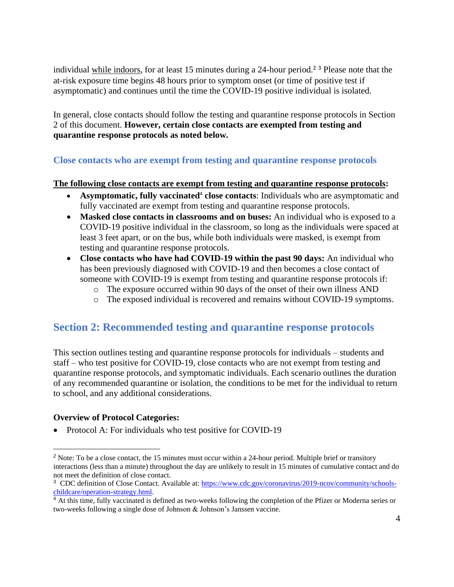individual while indoors, for at least 15 minutes during a 24-hour period.<sup>2</sup> <sup>3</sup> Please note that the at-risk exposure time begins 48 hours prior to symptom onset (or time of positive test if asymptomatic) and continues until the time the COVID-19 positive individual is isolated.

In general, close contacts should follow the testing and quarantine response protocols in Section 2 of this document. **However, certain close contacts are exempted from testing and quarantine response protocols as noted below.**

### **Close contacts who are exempt from testing and quarantine response protocols**

#### **The following close contacts are exempt from testing and quarantine response protocols:**

- Asymptomatic, fully vaccinated<sup>4</sup> close contacts: Individuals who are asymptomatic and fully vaccinated are exempt from testing and quarantine response protocols.
- **Masked close contacts in classrooms and on buses:** An individual who is exposed to a COVID-19 positive individual in the classroom, so long as the individuals were spaced at least 3 feet apart, or on the bus, while both individuals were masked, is exempt from testing and quarantine response protocols.
- **Close contacts who have had COVID-19 within the past 90 days:** An individual who has been previously diagnosed with COVID-19 and then becomes a close contact of someone with COVID-19 is exempt from testing and quarantine response protocols if:
	- o The exposure occurred within 90 days of the onset of their own illness AND
	- o The exposed individual is recovered and remains without COVID-19 symptoms.

# **Section 2: Recommended testing and quarantine response protocols**

This section outlines testing and quarantine response protocols for individuals – students and staff – who test positive for COVID-19, close contacts who are not exempt from testing and quarantine response protocols, and symptomatic individuals. Each scenario outlines the duration of any recommended quarantine or isolation, the conditions to be met for the individual to return to school, and any additional considerations.

#### **Overview of Protocol Categories:**

• Protocol A: For individuals who test positive for COVID-19

<sup>&</sup>lt;sup>2</sup> Note: To be a close contact, the 15 minutes must occur within a 24-hour period. Multiple brief or transitory interactions (less than a minute) throughout the day are unlikely to result in 15 minutes of cumulative contact and do not meet the definition of close contact.

<sup>&</sup>lt;sup>3</sup> CDC definition of Close Contact. Available at[: https://www.cdc.gov/coronavirus/2019-ncov/community/schools](https://www.cdc.gov/coronavirus/2019-ncov/community/schools-childcare/operation-strategy.html)[childcare/operation-strategy.html.](https://www.cdc.gov/coronavirus/2019-ncov/community/schools-childcare/operation-strategy.html)

<sup>4</sup> At this time, fully vaccinated is defined as two-weeks following the completion of the Pfizer or Moderna series or two-weeks following a single dose of Johnson & Johnson's Janssen vaccine.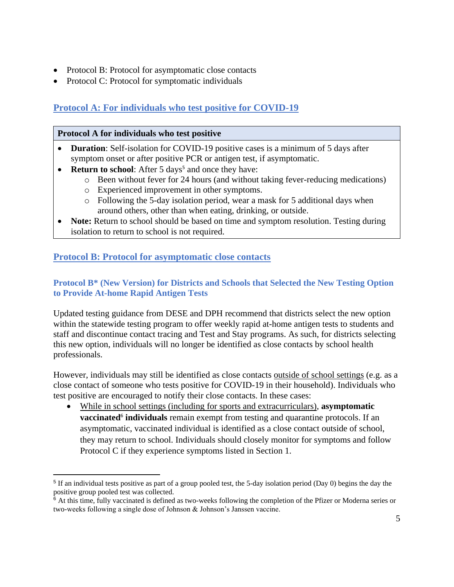- Protocol B: Protocol for asymptomatic close contacts
- Protocol C: Protocol for symptomatic individuals

# **Protocol A: For individuals who test positive for COVID-19**

### **Protocol A for individuals who test positive**

- **Duration**: Self-isolation for COVID-19 positive cases is a minimum of 5 days after symptom onset or after positive PCR or antigen test, if asymptomatic.
- **Return to school**: After 5 days<sup>5</sup> and once they have:
	- o Been without fever for 24 hours (and without taking fever-reducing medications)
	- o Experienced improvement in other symptoms.
		- o Following the 5-day isolation period, wear a mask for 5 additional days when around others, other than when eating, drinking, or outside.
- **Note:** Return to school should be based on time and symptom resolution. Testing during isolation to return to school is not required.

### **Protocol B: Protocol for asymptomatic close contacts**

### **Protocol B\* (New Version) for Districts and Schools that Selected the New Testing Option to Provide At-home Rapid Antigen Tests**

Updated testing guidance from DESE and DPH recommend that districts select the new option within the statewide testing program to offer weekly rapid at-home antigen tests to students and staff and discontinue contact tracing and Test and Stay programs. As such, for districts selecting this new option, individuals will no longer be identified as close contacts by school health professionals.

However, individuals may still be identified as close contacts outside of school settings (e.g. as a close contact of someone who tests positive for COVID-19 in their household). Individuals who test positive are encouraged to notify their close contacts. In these cases:

• While in school settings (including for sports and extracurriculars), **asymptomatic vaccinated<sup>6</sup>** individuals remain exempt from testing and quarantine protocols. If an asymptomatic, vaccinated individual is identified as a close contact outside of school, they may return to school. Individuals should closely monitor for symptoms and follow Protocol C if they experience symptoms listed in Section 1.

 $<sup>5</sup>$  If an individual tests positive as part of a group pooled test, the 5-day isolation period (Day 0) begins the day the</sup> positive group pooled test was collected.

<sup>&</sup>lt;sup>6</sup> At this time, fully vaccinated is defined as two-weeks following the completion of the Pfizer or Moderna series or two-weeks following a single dose of Johnson & Johnson's Janssen vaccine.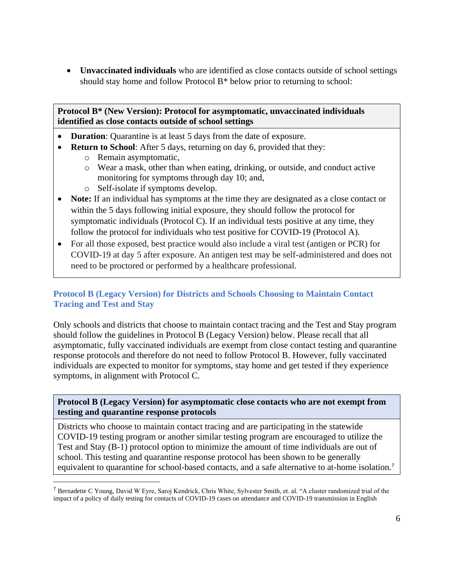• **Unvaccinated individuals** who are identified as close contacts outside of school settings should stay home and follow Protocol B\* below prior to returning to school:

**Protocol B\* (New Version): Protocol for asymptomatic, unvaccinated individuals identified as close contacts outside of school settings**

- **Duration**: Quarantine is at least 5 days from the date of exposure.
- **Return to School**: After 5 days, returning on day 6, provided that they:
	- o Remain asymptomatic,
	- o Wear a mask, other than when eating, drinking, or outside, and conduct active monitoring for symptoms through day 10; and,
	- o Self-isolate if symptoms develop.
- **Note:** If an individual has symptoms at the time they are designated as a close contact or within the 5 days following initial exposure, they should follow the protocol for symptomatic individuals (Protocol C). If an individual tests positive at any time, they follow the protocol for individuals who test positive for COVID-19 (Protocol A).
- For all those exposed, best practice would also include a viral test (antigen or PCR) for COVID-19 at day 5 after exposure. An antigen test may be self-administered and does not need to be proctored or performed by a healthcare professional.

### **Protocol B (Legacy Version) for Districts and Schools Choosing to Maintain Contact Tracing and Test and Stay**

Only schools and districts that choose to maintain contact tracing and the Test and Stay program should follow the guidelines in Protocol B (Legacy Version) below. Please recall that all asymptomatic, fully vaccinated individuals are exempt from close contact testing and quarantine response protocols and therefore do not need to follow Protocol B. However, fully vaccinated individuals are expected to monitor for symptoms, stay home and get tested if they experience symptoms, in alignment with Protocol C.

### **Protocol B (Legacy Version) for asymptomatic close contacts who are not exempt from testing and quarantine response protocols**

Districts who choose to maintain contact tracing and are participating in the statewide COVID-19 testing program or another similar testing program are encouraged to utilize the Test and Stay (B-1) protocol option to minimize the amount of time individuals are out of school. This testing and quarantine response protocol has been shown to be generally equivalent to quarantine for school-based contacts, and a safe alternative to at-home isolation.<sup>7</sup>

<sup>7</sup> Bernadette C Young, David W Eyre, Saroj Kendrick, Chris White, Sylvester Smith, et. al. "A cluster randomized trial of the impact of a policy of daily testing for contacts of COVID-19 cases on attendance and COVID-19 transmission in English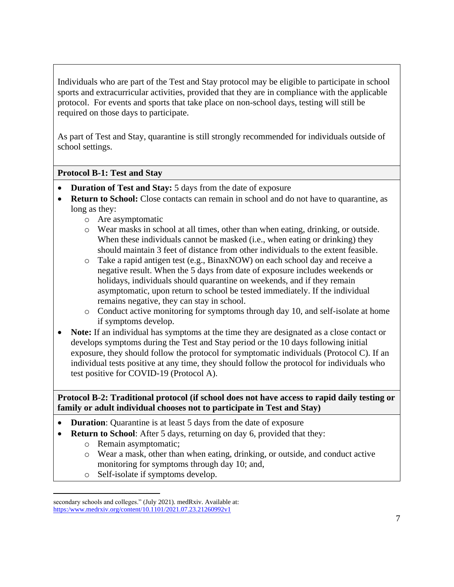Individuals who are part of the Test and Stay protocol may be eligible to participate in school sports and extracurricular activities, provided that they are in compliance with the applicable protocol. For events and sports that take place on non-school days, testing will still be required on those days to participate.

As part of Test and Stay, quarantine is still strongly recommended for individuals outside of school settings.

### **Protocol B-1: Test and Stay**

- **Duration of Test and Stay:** 5 days from the date of exposure
- **Return to School:** Close contacts can remain in school and do not have to quarantine, as long as they:
	- o Are asymptomatic
	- o Wear masks in school at all times, other than when eating, drinking, or outside. When these individuals cannot be masked (i.e., when eating or drinking) they should maintain 3 feet of distance from other individuals to the extent feasible.
	- o Take a rapid antigen test (e.g., BinaxNOW) on each school day and receive a negative result. When the 5 days from date of exposure includes weekends or holidays, individuals should quarantine on weekends, and if they remain asymptomatic, upon return to school be tested immediately. If the individual remains negative, they can stay in school.
	- o Conduct active monitoring for symptoms through day 10, and self-isolate at home if symptoms develop.
- **Note:** If an individual has symptoms at the time they are designated as a close contact or develops symptoms during the Test and Stay period or the 10 days following initial exposure, they should follow the protocol for symptomatic individuals (Protocol C). If an individual tests positive at any time, they should follow the protocol for individuals who test positive for COVID-19 (Protocol A).

**Protocol B-2: Traditional protocol (if school does not have access to rapid daily testing or family or adult individual chooses not to participate in Test and Stay)**

- **Duration**: Quarantine is at least 5 days from the date of exposure
- **Return to School**: After 5 days, returning on day 6, provided that they:
	- o Remain asymptomatic;
	- o Wear a mask, other than when eating, drinking, or outside, and conduct active monitoring for symptoms through day 10; and,
	- o Self-isolate if symptoms develop.

secondary schools and colleges." (July 2021). medRxiv. Available at: [https:/www.medrxiv.org/content/10.1101/2021.07.23.21260992v1](https://www.medrxiv.org/content/10.1101/2021.07.23.21260992v1)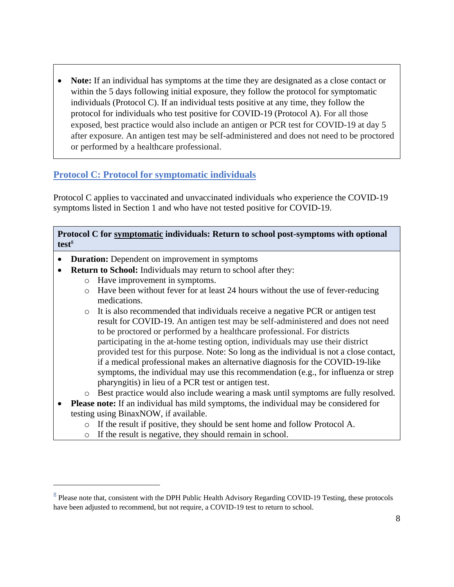• **Note:** If an individual has symptoms at the time they are designated as a close contact or within the 5 days following initial exposure, they follow the protocol for symptomatic individuals (Protocol C). If an individual tests positive at any time, they follow the protocol for individuals who test positive for COVID-19 (Protocol A). For all those exposed, best practice would also include an antigen or PCR test for COVID-19 at day 5 after exposure. An antigen test may be self-administered and does not need to be proctored or performed by a healthcare professional.

### **Protocol C: Protocol for symptomatic individuals**

Protocol C applies to vaccinated and unvaccinated individuals who experience the COVID-19 symptoms listed in Section 1 and who have not tested positive for COVID-19.

#### **Protocol C for symptomatic individuals: Return to school post-symptoms with optional test**<sup>8</sup>

- **Duration:** Dependent on improvement in symptoms
- **Return to School:** Individuals may return to school after they:
	- o Have improvement in symptoms.
	- o Have been without fever for at least 24 hours without the use of fever-reducing medications.
	- o It is also recommended that individuals receive a negative PCR or antigen test result for COVID-19. An antigen test may be self-administered and does not need to be proctored or performed by a healthcare professional. For districts participating in the at-home testing option, individuals may use their district provided test for this purpose. Note: So long as the individual is not a close contact, if a medical professional makes an alternative diagnosis for the COVID-19-like symptoms, the individual may use this recommendation (e.g., for influenza or strep pharyngitis) in lieu of a PCR test or antigen test.
	- o Best practice would also include wearing a mask until symptoms are fully resolved.
- **Please note:** If an individual has mild symptoms, the individual may be considered for testing using BinaxNOW, if available.
	- o If the result if positive, they should be sent home and follow Protocol A.
	- o If the result is negative, they should remain in school.

<sup>&</sup>lt;sup>8</sup> Please note that, consistent with the DPH [Public Health Advisory Regarding COVID-19 Testing,](https://www.mass.gov/advisory/public-health-advisory-regarding-covid-19-testing#:~:text=The%20Massachusetts%20Department%20of%20Public,with%20the%20new%20CDC%20guidance.) these protocols have been adjusted to recommend, but not require, a COVID-19 test to return to school.